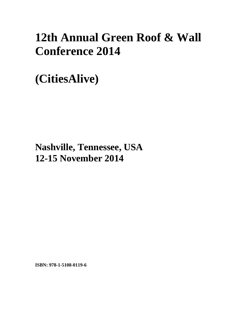## **12th Annual Green Roof & Wall Conference 2014**

**(CitiesAlive)** 

**Nashville, Tennessee, USA 12-15 November 2014**

**ISBN: 978-1-5108-0119-6**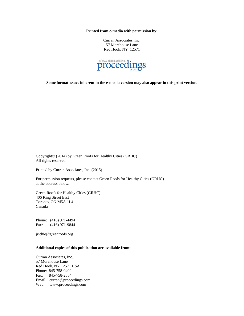**Printed from e-media with permission by:** 

Curran Associates, Inc. 57 Morehouse Lane Red Hook, NY 12571



**Some format issues inherent in the e-media version may also appear in this print version.** 

Copyright© (2014) by Green Roofs for Healthy Cities (GRHC) All rights reserved.

Printed by Curran Associates, Inc. (2015)

For permission requests, please contact Green Roofs for Healthy Cities (GRHC) at the address below.

Green Roofs for Healthy Cities (GRHC) 406 King Street East Toronto, ON M5A 1L4 Canada

Phone: (416) 971-4494 Fax: (416) 971-9844

jrichie@greenroofs.org

## **Additional copies of this publication are available from:**

Curran Associates, Inc. 57 Morehouse Lane Red Hook, NY 12571 USA Phone: 845-758-0400 Fax: 845-758-2634 Email: curran@proceedings.com Web: www.proceedings.com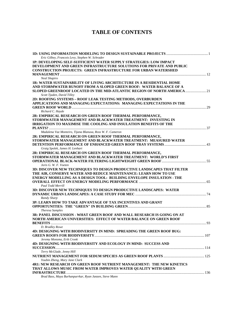## **TABLE OF CONTENTS**

| Eric Gilbey, Francois Levy, Stephen W. Schrader                          |  |
|--------------------------------------------------------------------------|--|
| 1P: DEVELOPING SELF-SUFFICIENT WATER SUPPLY STRATEGIES: LOW IMPACT       |  |
| DEVELOPMENT AND GREEN INFRASTRUCTURE SOLUTIONS FOR PRIVATE AND PUBLIC    |  |
| <b>CONSTRUCTION PROJECTS: GREEN INFRASTRUCTURE FOR URBAN WATERSHED</b>   |  |
|                                                                          |  |
| <b>Neal Shapiro</b>                                                      |  |
| 1R: WATER SUSTAINABILITY OF LIVING ARCHITECTURE IN A RESIDENTIAL HOME    |  |
| AND STORMWATER RUNOFF FROM A SLOPED GREEN ROOF: WATER BALANCE OF A       |  |
| SLOPED GREENROOF LOCATED IN THE MID-ATLANTIC REGION OF NORTH AMERICA  21 |  |
| Scott Tjaden, David Tilley                                               |  |
| 2D: ROOFING SYSTEMS - ROOF LEAK TESTING METHODS, OVERBURDEN              |  |
| APPLICATIONS AND MANAGING EXPECTATIONS: MANAGING EXPECTATIONS IN THE     |  |
|                                                                          |  |
| Richard C. Hayde                                                         |  |
| 2R: EMPIRICAL RESEARCH ON GREEN ROOF THERMAL PERFORMANCE,                |  |
| STORMWATER MANAGEMENT AND BLACKWATER TREATMENT: INVESTING IN             |  |
|                                                                          |  |
| IRRIGATION TO MAXIMISE THE COOLING AND INSULATION BENEFITS OF THE        |  |
| Madalena Vaz Monteiro, Tijana Blanusa, Ross W. F. Cameron                |  |
|                                                                          |  |
| 2R: EMPIRICAL RESEARCH ON GREEN ROOF THERMAL PERFORMANCE,                |  |
| STORMWATER MANAGEMENT AND BLACKWATER TREATMENT: MEASURED WATER           |  |
|                                                                          |  |
| Graig Spolek, James H. Lenhart                                           |  |
| 2R: EMPIRICAL RESEARCH ON GREEN ROOF THERMAL PERFORMANCE,                |  |
| STORMWATER MANAGEMENT AND BLACKWATER TREATMENT: WORLD'S FIRST            |  |
|                                                                          |  |
| Joris G. W. F. Voeten                                                    |  |
| 3D: DISCOVER NEW TECHNIQUES TO DESIGN PRODUCTIVE LANDSCAPES THAT FILTER  |  |
| THE AIR, CONSERVE WATER AND REDUCE MAINTENANCE: LEARN HOW TO USE         |  |
| ENERGY MODELLING AS A DESIGN TOOL: BUILDING ENVELOPE INSULATION - THE    |  |
|                                                                          |  |
| Paul Todd Merrill                                                        |  |
| 3D: DISCOVER NEW TECHNIQUES TO DESIGN PRODUCTIVE LANDSCAPES: WATER       |  |
|                                                                          |  |
| Randy Sharp                                                              |  |
| 3P: LEARN HOW TO TAKE ADVANTAGE OF TAX INCENTIVES AND GRANT              |  |
|                                                                          |  |
| <b>Theresa Samples</b>                                                   |  |
| 3R: PANEL DISCUSSION - WHAT GREEN ROOF AND WALL RESEARCH IS GOING ON AT  |  |
| NORTH AMERICAN UNIVERSITIES: EFFECT OF WATER BALANCE ON GREEN ROOF       |  |
|                                                                          |  |
| D. Bradley Rowe                                                          |  |
| 4D: DESIGNING WITH BIODIVERSITY IN MIND: SPREADING THE GREEN ROOF BUG:   |  |
|                                                                          |  |
| Jeremy Monsma, Erik Cronk                                                |  |
| 4D: DESIGNING WITH BIODIVERSITY AND ECOLOGY IN MIND: SUCCESS AND         |  |
|                                                                          |  |
| Terry McGlade, Jenny Hill                                                |  |
|                                                                          |  |
| Youbin Zheng, Mary Jane Clark                                            |  |
| 4R1: NEW RESEARCH ON GREEN ROOF NUTRIENT MANAGEMENT: THE NEW KINETICS    |  |
| THAT ALLOWS MUSIC FROM WATER IMPROVES WATER QUALITY WITH GREEN           |  |
|                                                                          |  |
| Read Rass, Maya Burhannurrkar, Ryan Janzen, Steve Mann                   |  |

*Brad Bass, Maya Burhanpurrkar, Ryan Janzen, Steve Mann*